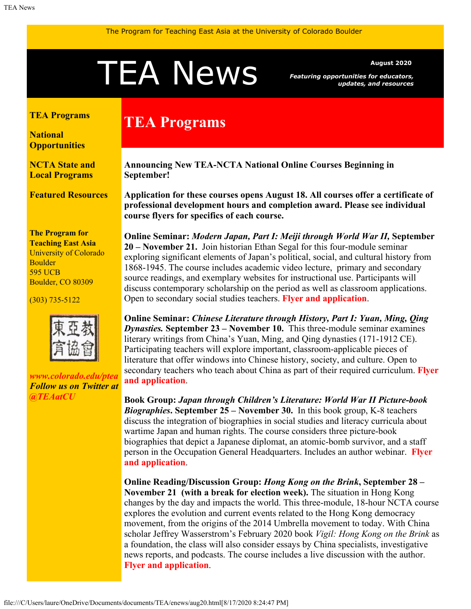# <span id="page-0-0"></span>A News *Featuring opportunities for educators,*

*Featuring opportunities for educators, updates, and resources*

#### **[TEA Programs](#page-0-0)**

**[National](#page-0-0) [Opportunities](#page-0-0)**

**[NCTA State and](#page-2-0) [Local Programs](#page-2-0)**

**[Featured Resources](#page-2-1)**

**The Program for Teaching East Asia** University of Colorado Boulder 595 UCB Boulder, CO 80309

(303) 735-5122



*[www.colorado.edu/ptea](http://www.colorado.edu/cas/tea) Follow us on Twitter at [@TEAatCU](https://twitter.com/TEAatCU)*

## **TEA Programs**

**Announcing New TEA-NCTA National Online Courses Beginning in September!**

**Application for these courses opens August 18. All courses offer a certificate of professional development hours and completion award. Please see individual course flyers for specifics of each course.**

**Online Seminar:** *Modern Japan, Part I: Meiji through World War II,* **September 20 – November 21.** Join historian Ethan Segal for this four-module seminar exploring significant elements of Japan's political, social, and cultural history from 1868-1945. The course includes academic video lecture, primary and secondary source readings, and exemplary websites for instructional use. Participants will discuss contemporary scholarship on the period as well as classroom applications. Open to secondary social studies teachers. **[Flyer and application](https://www.colorado.edu/ptea/sites/default/files/attached-files/modjapanflyerfall20.pdf)**.

**Online Seminar:** *Chinese Literature through History, Part I: Yuan, Ming, Qing Dynasties.* **September 23 – November 10.** This three-module seminar examines literary writings from China's Yuan, Ming, and Qing dynasties (171-1912 CE). Participating teachers will explore important, classroom-applicable pieces of literature that offer windows into Chinese history, society, and culture. Open to secondary teachers who teach about China as part of their required curriculum. **[Flyer](https://www.colorado.edu/ptea/sites/default/files/attached-files/lithistcourseflyerfall2020.pdf) [and application](https://www.colorado.edu/ptea/sites/default/files/attached-files/lithistcourseflyerfall2020.pdf)**.

**Book Group:** *Japan through Children's Literature: World War II Picture-book Biographies***. September 25 – November 30.** In this book group, K-8 teachers discuss the integration of biographies in social studies and literacy curricula about wartime Japan and human rights. The course considers three picture-book biographies that depict a Japanese diplomat, an atomic-bomb survivor, and a staff person in the Occupation General Headquarters. Includes an author webinar. **[Flyer](https://www.colorado.edu/ptea/sites/default/files/attached-files/fall2020jpkidlitbgflyer.pdf) [and application](https://www.colorado.edu/ptea/sites/default/files/attached-files/fall2020jpkidlitbgflyer.pdf)**.

**Online Reading/Discussion Group:** *Hong Kong on the Brink***, September 28 – November 21 (with a break for election week).** The situation in Hong Kong changes by the day and impacts the world. This three-module, 18-hour NCTA course explores the evolution and current events related to the Hong Kong democracy movement, from the origins of the 2014 Umbrella movement to today. With China scholar Jeffrey Wasserstrom's February 2020 book *Vigil: Hong Kong on the Brink* as a foundation, the class will also consider essays by China specialists, investigative news reports, and podcasts. The course includes a live discussion with the author. **[Flyer and application](https://www.colorado.edu/ptea/sites/default/files/attached-files/vigilhkfall2020flyer.pdf)**.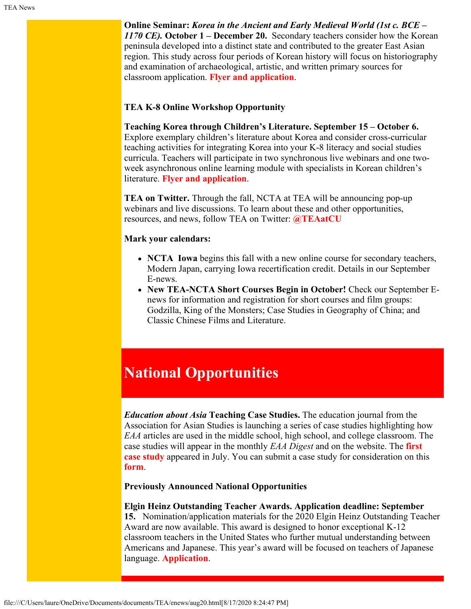**Online Seminar:** *Korea in the Ancient and Early Medieval World (1st c. BCE – 1170 CE).* **October 1 – December 20.** Secondary teachers consider how the Korean peninsula developed into a distinct state and contributed to the greater East Asian region. This study across four periods of Korean history will focus on historiography and examination of archaeological, artistic, and written primary sources for classroom application. **[Flyer and application](https://www.colorado.edu/ptea/sites/default/files/attached-files/2020aemkoreacourseflyer.pdf)**.

#### **TEA K-8 Online Workshop Opportunity**

**Teaching Korea through Children's Literature. September 15 – October 6.** Explore exemplary children's literature about Korea and consider cross-curricular teaching activities for integrating Korea into your K-8 literacy and social studies curricula. Teachers will participate in two synchronous live webinars and one twoweek asynchronous online learning module with specialists in Korean children's literature. **[Flyer and application](https://www.colorado.edu/ptea/sites/default/files/attached-files/koreakidlit2020flyer.pdf)**.

**TEA on Twitter.** Through the fall, NCTA at TEA will be announcing pop-up webinars and live discussions. To learn about these and other opportunities, resources, and news, follow TEA on Twitter: **[@TEAatCU](https://twitter.com/TEAatCU)**

#### **Mark your calendars:**

- **NCTA Iowa** begins this fall with a new online course for secondary teachers, Modern Japan, carrying Iowa recertification credit. Details in our September E-news.
- **New TEA-NCTA Short Courses Begin in October!** Check our September Enews for information and registration for short courses and film groups: Godzilla, King of the Monsters; Case Studies in Geography of China; and Classic Chinese Films and Literature.

## **National Opportunities**

*Education about Asia* **Teaching Case Studies.** The education journal from the Association for Asian Studies is launching a series of case studies highlighting how *EAA* articles are used in the middle school, high school, and college classroom. The case studies will appear in the monthly *EAA Digest* and on the website. The **[first](https://www.asianstudies.org/publications/eaa/tcs/) [case study](https://www.asianstudies.org/publications/eaa/tcs/)** appeared in July. You can submit a case study for consideration on this **[form](https://asianstudies.wufoo.com/forms/x2nxlxi0xrip67/)**.

**Previously Announced National Opportunities**

**Elgin Heinz Outstanding Teacher Awards. Application deadline: September 15.** Nomination/application materials for the 2020 Elgin Heinz Outstanding Teacher Award are now available. This award is designed to honor exceptional K-12 classroom teachers in the United States who further mutual understanding between Americans and Japanese. This year's award will be focused on teachers of Japanese language. **[Application](https://www.engageasia.org/elgin-heinz-teacher-award)**.